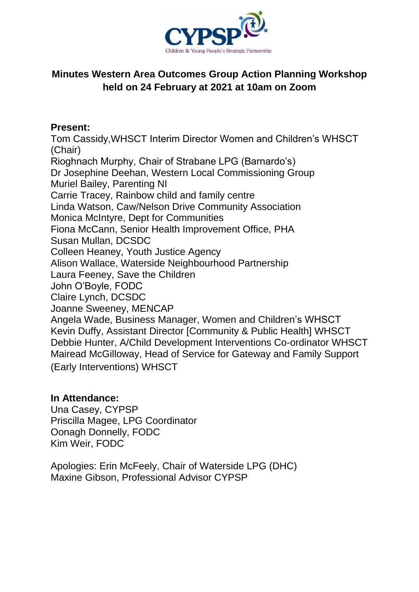

## **Minutes Western Area Outcomes Group Action Planning Workshop held on 24 February at 2021 at 10am on Zoom**

## **Present:**

Tom Cassidy,WHSCT Interim Director Women and Children's WHSCT (Chair) Rioghnach Murphy, Chair of Strabane LPG (Barnardo's) Dr Josephine Deehan, Western Local Commissioning Group Muriel Bailey, Parenting NI Carrie Tracey, Rainbow child and family centre Linda Watson, Caw/Nelson Drive Community Association Monica McIntyre, Dept for Communities Fiona McCann, Senior Health Improvement Office, PHA Susan Mullan, DCSDC Colleen Heaney, Youth Justice Agency Alison Wallace, Waterside Neighbourhood Partnership Laura Feeney, Save the Children John O'Boyle, FODC Claire Lynch, DCSDC Joanne Sweeney, MENCAP Angela Wade, Business Manager, Women and Children's WHSCT Kevin Duffy, Assistant Director [Community & Public Health] WHSCT Debbie Hunter, A/Child Development Interventions Co-ordinator WHSCT Mairead McGilloway, Head of Service for Gateway and Family Support (Early Interventions) WHSCT

## **In Attendance:**

Una Casey, CYPSP Priscilla Magee, LPG Coordinator Oonagh Donnelly, FODC Kim Weir, FODC

Apologies: Erin McFeely, Chair of Waterside LPG (DHC) Maxine Gibson, Professional Advisor CYPSP